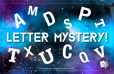

S

**P**

A D

**M**

**T**

*© 2019 Transformative Learning Alliance (TLA) Everyday Circles*

**U** 



**T**